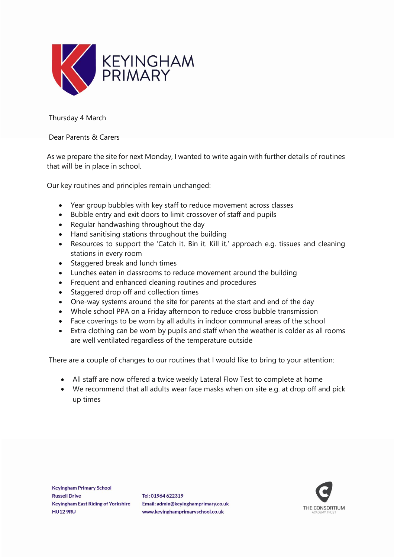

Thursday 4 March

## Dear Parents & Carers

As we prepare the site for next Monday, I wanted to write again with further details of routines that will be in place in school.

Our key routines and principles remain unchanged:

- Year group bubbles with key staff to reduce movement across classes
- Bubble entry and exit doors to limit crossover of staff and pupils
- Regular handwashing throughout the day
- Hand sanitising stations throughout the building
- Resources to support the 'Catch it. Bin it. Kill it.' approach e.g. tissues and cleaning stations in every room
- Staggered break and lunch times
- Lunches eaten in classrooms to reduce movement around the building
- Frequent and enhanced cleaning routines and procedures
- Staggered drop off and collection times
- One-way systems around the site for parents at the start and end of the day
- Whole school PPA on a Friday afternoon to reduce cross bubble transmission
- Face coverings to be worn by all adults in indoor communal areas of the school
- Extra clothing can be worn by pupils and staff when the weather is colder as all rooms are well ventilated regardless of the temperature outside

There are a couple of changes to our routines that I would like to bring to your attention:

- All staff are now offered a twice weekly Lateral Flow Test to complete at home
- We recommend that all adults wear face masks when on site e.g. at drop off and pick up times

Tel: 01964 622319 Email: admin@keyinghamprimary.co.uk www.keyinghamprimaryschool.co.uk